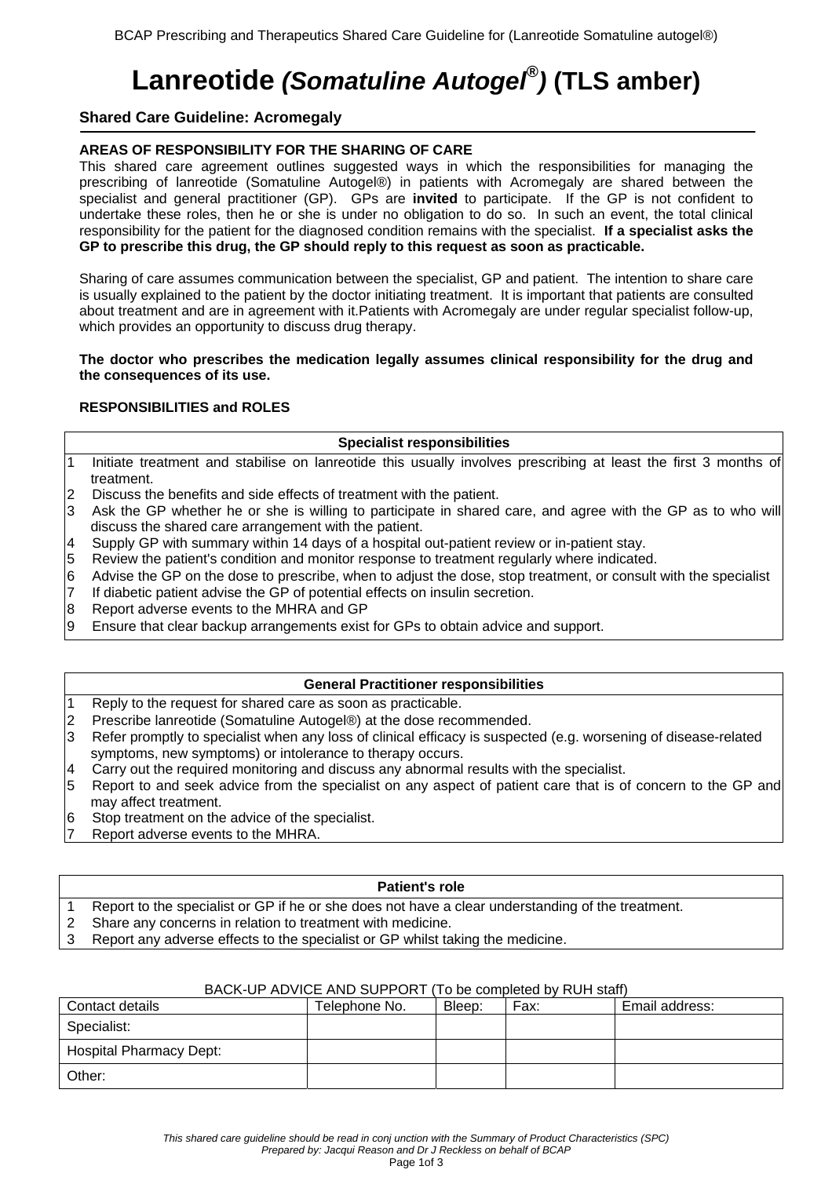# **Lanreotide** *(Somatuline Autogel® )* **(TLS amber)**

# **Shared Care Guideline: Acromegaly**

# **AREAS OF RESPONSIBILITY FOR THE SHARING OF CARE**

This shared care agreement outlines suggested ways in which the responsibilities for managing the prescribing of lanreotide (Somatuline Autogel®) in patients with Acromegaly are shared between the specialist and general practitioner (GP). GPs are **invited** to participate. If the GP is not confident to undertake these roles, then he or she is under no obligation to do so. In such an event, the total clinical responsibility for the patient for the diagnosed condition remains with the specialist. **If a specialist asks the GP to prescribe this drug, the GP should reply to this request as soon as practicable.**

Sharing of care assumes communication between the specialist, GP and patient. The intention to share care is usually explained to the patient by the doctor initiating treatment. It is important that patients are consulted about treatment and are in agreement with it.Patients with Acromegaly are under regular specialist follow-up, which provides an opportunity to discuss drug therapy.

## **The doctor who prescribes the medication legally assumes clinical responsibility for the drug and the consequences of its use.**

# **RESPONSIBILITIES and ROLES**

# **Specialist responsibilities**

- Initiate treatment and stabilise on lanreotide this usually involves prescribing at least the first 3 months of treatment.
- 2 Discuss the benefits and side effects of treatment with the patient.
- 3 Ask the GP whether he or she is willing to participate in shared care, and agree with the GP as to who will discuss the shared care arrangement with the patient.
- 4 Supply GP with summary within 14 days of a hospital out-patient review or in-patient stay.
- 5 Review the patient's condition and monitor response to treatment regularly where indicated.
- 6 Advise the GP on the dose to prescribe, when to adjust the dose, stop treatment, or consult with the specialist
- 7 If diabetic patient advise the GP of potential effects on insulin secretion.
- 8 Report adverse events to the MHRA and GP
- 9 Ensure that clear backup arrangements exist for GPs to obtain advice and support.

#### **General Practitioner responsibilities**

- 1 Reply to the request for shared care as soon as practicable.
- 2 Prescribe lanreotide (Somatuline Autogel®) at the dose recommended.
- 3 Refer promptly to specialist when any loss of clinical efficacy is suspected (e.g. worsening of disease-related symptoms, new symptoms) or intolerance to therapy occurs.
- Carry out the required monitoring and discuss any abnormal results with the specialist.
- 5 Report to and seek advice from the specialist on any aspect of patient care that is of concern to the GP and may affect treatment.
- 6 Stop treatment on the advice of the specialist.
- Report adverse events to the MHRA.

# **Patient's role**

- 1 Report to the specialist or GP if he or she does not have a clear understanding of the treatment.
- 2 Share any concerns in relation to treatment with medicine.
- 3 Report any adverse effects to the specialist or GP whilst taking the medicine.

#### BACK-UP ADVICE AND SUPPORT (To be completed by RUH staff)

| Contact details                | Telephone No. | Bleep: | Fax: | Email address: |
|--------------------------------|---------------|--------|------|----------------|
| Specialist:                    |               |        |      |                |
| <b>Hospital Pharmacy Dept:</b> |               |        |      |                |
| Other:                         |               |        |      |                |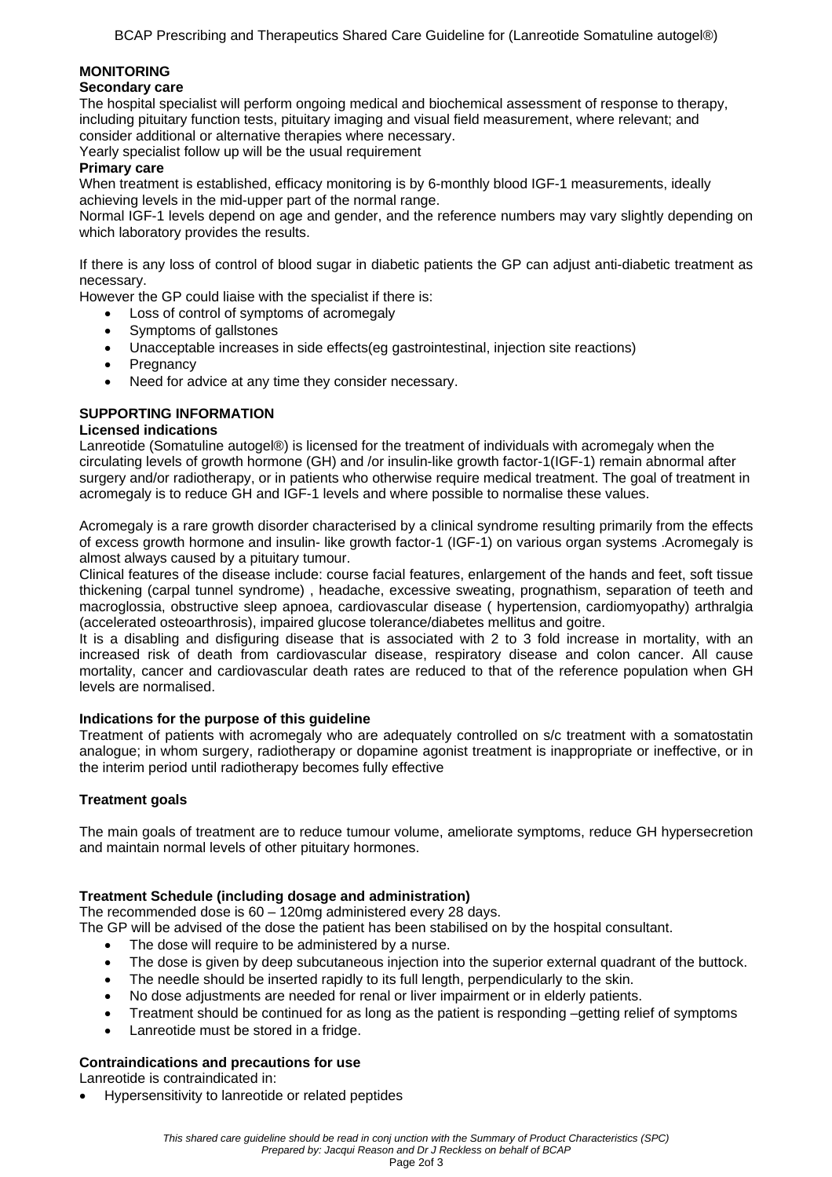# **MONITORING**

## **Secondary care**

The hospital specialist will perform ongoing medical and biochemical assessment of response to therapy, including pituitary function tests, pituitary imaging and visual field measurement, where relevant; and consider additional or alternative therapies where necessary.

Yearly specialist follow up will be the usual requirement

# **Primary care**

When treatment is established, efficacy monitoring is by 6-monthly blood IGF-1 measurements, ideally achieving levels in the mid-upper part of the normal range.

Normal IGF-1 levels depend on age and gender, and the reference numbers may vary slightly depending on which laboratory provides the results.

If there is any loss of control of blood sugar in diabetic patients the GP can adjust anti-diabetic treatment as necessary.

However the GP could liaise with the specialist if there is:

- Loss of control of symptoms of acromegaly
- Symptoms of gallstones
- Unacceptable increases in side effects(eg gastrointestinal, injection site reactions)
- Pregnancy
- Need for advice at any time they consider necessary.

# **SUPPORTING INFORMATION**

#### **Licensed indications**

Lanreotide (Somatuline autogel®) is licensed for the treatment of individuals with acromegaly when the circulating levels of growth hormone (GH) and /or insulin-like growth factor-1(IGF-1) remain abnormal after surgery and/or radiotherapy, or in patients who otherwise require medical treatment. The goal of treatment in acromegaly is to reduce GH and IGF-1 levels and where possible to normalise these values.

Acromegaly is a rare growth disorder characterised by a clinical syndrome resulting primarily from the effects of excess growth hormone and insulin- like growth factor-1 (IGF-1) on various organ systems .Acromegaly is almost always caused by a pituitary tumour.

Clinical features of the disease include: course facial features, enlargement of the hands and feet, soft tissue thickening (carpal tunnel syndrome) , headache, excessive sweating, prognathism, separation of teeth and macroglossia, obstructive sleep apnoea, cardiovascular disease ( hypertension, cardiomyopathy) arthralgia (accelerated osteoarthrosis), impaired glucose tolerance/diabetes mellitus and goitre.

It is a disabling and disfiguring disease that is associated with 2 to 3 fold increase in mortality, with an increased risk of death from cardiovascular disease, respiratory disease and colon cancer. All cause mortality, cancer and cardiovascular death rates are reduced to that of the reference population when GH levels are normalised.

#### **Indications for the purpose of this guideline**

Treatment of patients with acromegaly who are adequately controlled on s/c treatment with a somatostatin analogue; in whom surgery, radiotherapy or dopamine agonist treatment is inappropriate or ineffective, or in the interim period until radiotherapy becomes fully effective

#### **Treatment goals**

The main goals of treatment are to reduce tumour volume, ameliorate symptoms, reduce GH hypersecretion and maintain normal levels of other pituitary hormones.

# **Treatment Schedule (including dosage and administration)**

The recommended dose is 60 – 120mg administered every 28 days.

The GP will be advised of the dose the patient has been stabilised on by the hospital consultant.

- The dose will require to be administered by a nurse.
- The dose is given by deep subcutaneous injection into the superior external quadrant of the buttock.
- The needle should be inserted rapidly to its full length, perpendicularly to the skin.
- No dose adjustments are needed for renal or liver impairment or in elderly patients.
- Treatment should be continued for as long as the patient is responding –getting relief of symptoms
- Lanreotide must be stored in a fridge.

### **Contraindications and precautions for use**

Lanreotide is contraindicated in:

• Hypersensitivity to lanreotide or related peptides